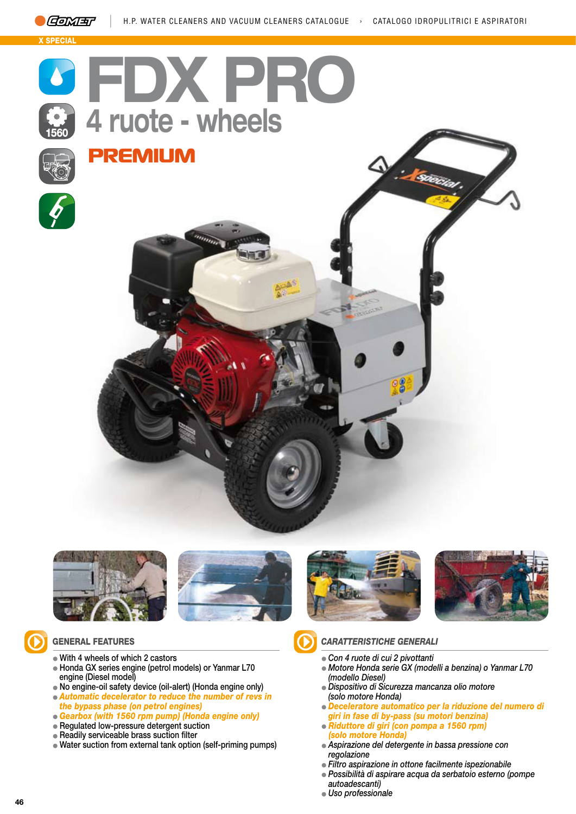













### GENERAL FEATURES

- With 4 wheels of which 2 castors
- Honda GX series engine (petrol models) or Yanmar L70 engine (Diesel model)
- No engine-oil safety device (oil-alert) (Honda engine only)
- *Automatic decelerator to reduce the number of revs in the bypass phase (on petrol engines)*
- *Gearbox (with 1560 rpm pump) (Honda engine only)*
- Regulated low-pressure detergent suction
- Readily serviceable brass suction filter
- Water suction from external tank option (self-priming pumps)



# *CARATTERISTICHE GENERALI*

- *Con 4 ruote di cui 2 pivottanti*
- *Motore Honda serie GX (modelli a benzina) o Yanmar L70 (modello Diesel)*
- *Dispositivo di Sicurezza mancanza olio motore (solo motore Honda)*
- *Deceleratore automatico per la riduzione del numero di*
- *giri in fase di by-pass (su motori benzina)*
- *Riduttore di giri (con pompa a 1560 rpm) (solo motore Honda)*
- *Aspirazione del detergente in bassa pressione con regolazione*
- *Filtro aspirazione in ottone facilmente ispezionabile*
- *Possibilità di aspirare acqua da serbatoio esterno (pompe autoadescanti)*
- *Uso professionale*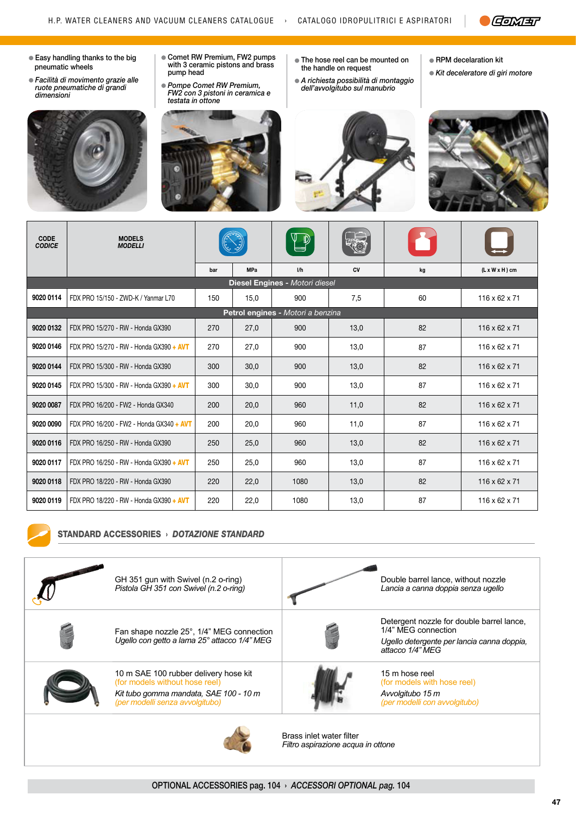

- Easy handling thanks to the big pneumatic wheels
- *Facilità di movimento grazie alle ruote pneumatiche di grandi dimensioni*



- Comet RW Premium, FW2 pumps with 3 ceramic pistons and brass pump head
- *Pompe Comet RW Premium, FW2 con 3 pistoni in ceramica e*



- The hose reel can be mounted on the handle on request
- *A richiesta possibilità di montaggio dell'avvolgitubo sul manubrio*



RPM decelaration kit

*Kit deceleratore di giri motore*

| <b>CODE</b><br><b>CODICE</b>      | <b>MODELS</b><br><b>MODELLI</b>          |     |            | $\mathbb{P}$                   |      | M  |                            |
|-----------------------------------|------------------------------------------|-----|------------|--------------------------------|------|----|----------------------------|
|                                   |                                          | bar | <b>MPa</b> | 1/h                            | CV   | kg | $(L \times W \times H)$ cm |
|                                   |                                          |     |            | Diesel Engines - Motori diesel |      |    |                            |
| 9020 0114                         | FDX PRO 15/150 - ZWD-K / Yanmar L70      | 150 | 15,0       | 900                            | 7,5  | 60 | $116 \times 62 \times 71$  |
| Petrol engines - Motori a benzina |                                          |     |            |                                |      |    |                            |
| 9020 0132                         | FDX PRO 15/270 - RW - Honda GX390        | 270 | 27,0       | 900                            | 13,0 | 82 | $116 \times 62 \times 71$  |
| 9020 0146                         | FDX PRO 15/270 - RW - Honda GX390 + AVT  | 270 | 27,0       | 900                            | 13,0 | 87 | $116 \times 62 \times 71$  |
| 9020 0144                         | FDX PRO 15/300 - RW - Honda GX390        | 300 | 30,0       | 900                            | 13,0 | 82 | $116 \times 62 \times 71$  |
| 9020 0145                         | FDX PRO 15/300 - RW - Honda GX390 + AVT  | 300 | 30.0       | 900                            | 13.0 | 87 | $116 \times 62 \times 71$  |
| 9020 0087                         | FDX PRO 16/200 - FW2 - Honda GX340       | 200 | 20,0       | 960                            | 11,0 | 82 | $116 \times 62 \times 71$  |
| 9020 0090                         | FDX PRO 16/200 - FW2 - Honda GX340 + AVT | 200 | 20,0       | 960                            | 11,0 | 87 | $116 \times 62 \times 71$  |
| 9020 0116                         | FDX PRO 16/250 - RW - Honda GX390        | 250 | 25,0       | 960                            | 13,0 | 82 | 116 x 62 x 71              |
| 9020 0117                         | FDX PRO 16/250 - RW - Honda GX390 + AVT  | 250 | 25,0       | 960                            | 13.0 | 87 | $116 \times 62 \times 71$  |
| 9020 0118                         | FDX PRO 18/220 - RW - Honda GX390        | 220 | 22,0       | 1080                           | 13,0 | 82 | $116 \times 62 \times 71$  |
| 9020 0119                         | FDX PRO 18/220 - RW - Honda GX390 + AVT  | 220 | 22,0       | 1080                           | 13,0 | 87 | $116 \times 62 \times 71$  |



#### STANDARD ACCESSORIES › *DOTAZIONE STANDARD*

| GH 351 gun with Swivel (n.2 o-ring)<br>Pistola GH 351 con Swivel (n.2 o-ring)                                                                        |                                                                | Double barrel lance, without nozzle<br>Lancia a canna doppia senza ugello                                                          |
|------------------------------------------------------------------------------------------------------------------------------------------------------|----------------------------------------------------------------|------------------------------------------------------------------------------------------------------------------------------------|
| Fan shape nozzle 25°, 1/4" MEG connection<br>Ugello con getto a lama 25° attacco 1/4" MEG                                                            |                                                                | Detergent nozzle for double barrel lance,<br>1/4" MEG connection<br>Ugello detergente per lancia canna doppia,<br>attacco 1/4" MEG |
| 10 m SAE 100 rubber delivery hose kit<br>(for models without hose reel)<br>Kit tubo gomma mandata, SAE 100 - 10 m<br>(per modelli senza avvolgitubo) |                                                                | 15 m hose reel<br>(for models with hose reel)<br>Avvolgitubo 15 m<br>(per modelli con avvolgitubo)                                 |
|                                                                                                                                                      | Brass inlet water filter<br>Filtro aspirazione acqua in ottone |                                                                                                                                    |

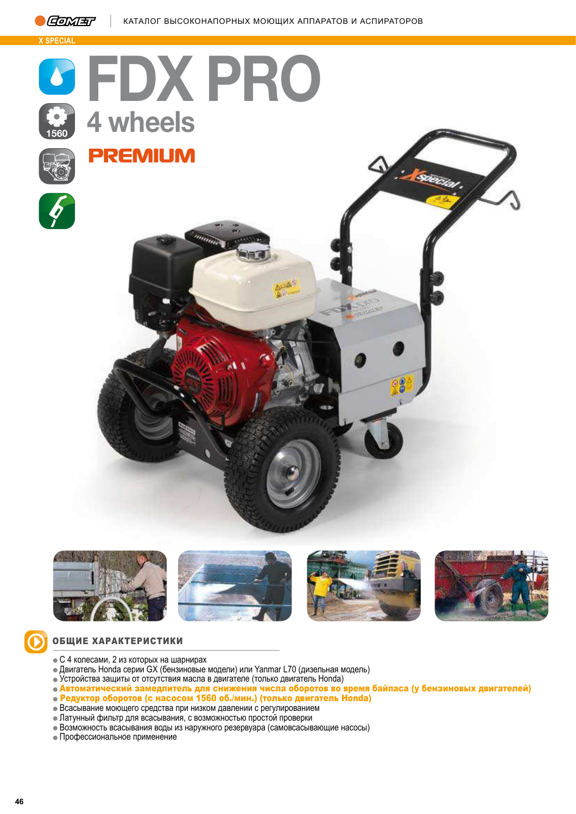

**Б SPECIAL**











## ОБЩИЕ ХАРАКТЕРИСТИКИ

- $\bullet$  С 4 колесами, 2 из которых на шарнирах
- Двигатель Honda серии GX (бензиновые модели) или Yanmar L70 (дизельная модель)
- Устройства защиты от отсутствия масла в двигателе (только двигатель Honda)
- Автоматический замедлитель для снижения числа оборотов во время байпаса (у бензиновых двигателей)
- Редуктор оборотов (с насосом 1560 об./мин.) (только двигатель Honda)
- $\bullet$  Всасывание моющего средства при низком давлении с регулированием
- Латунный фильтр для всасывания, с возможностью простой проверки
- Возможность всасывания воды из наружного резервуара (самовсасывающие насосы)
- Профессиональное применение

 $\odot$